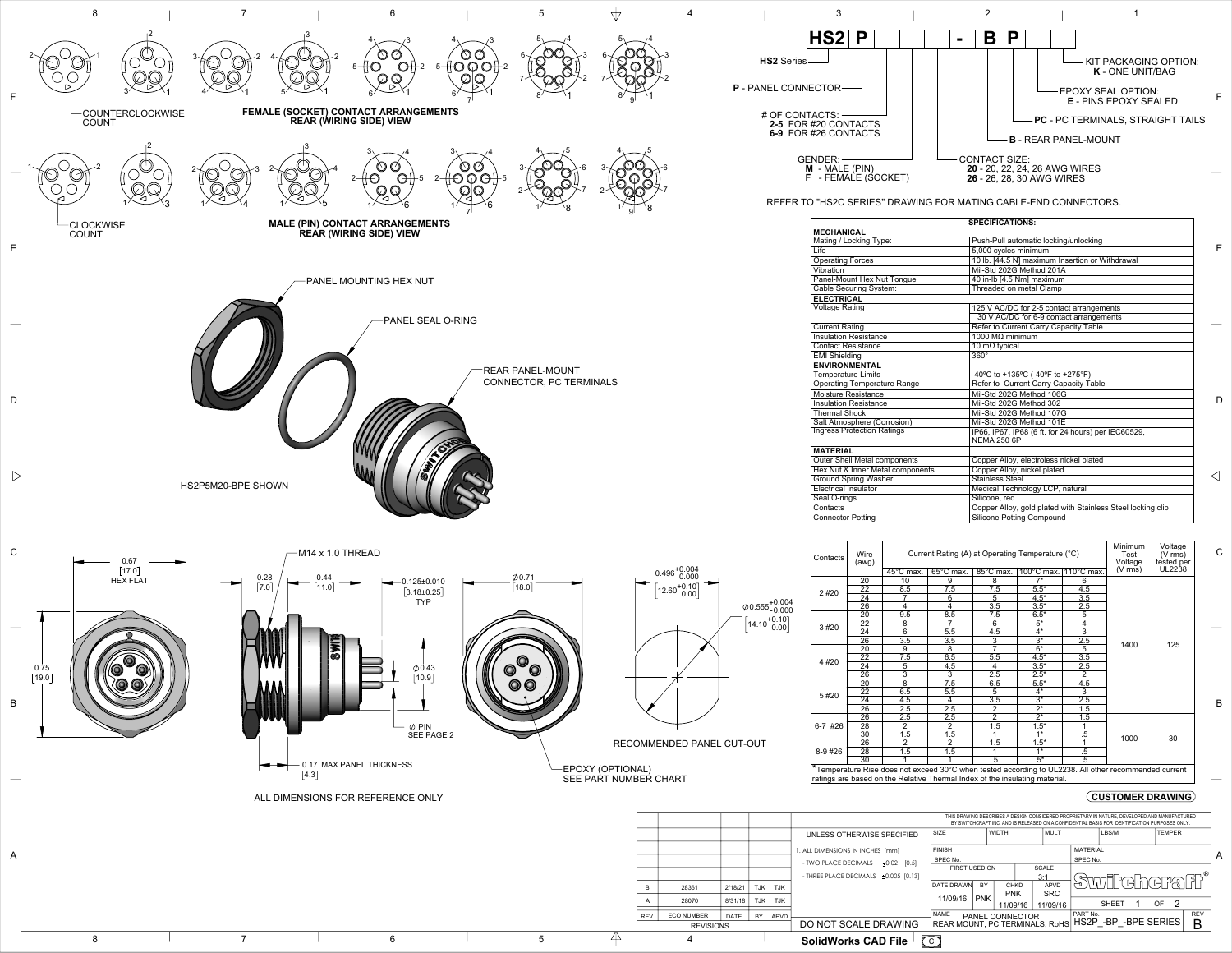REFER TO "HS2C SERIES" DRAWING FOR MATING CABLE-END CONNECTORS.

| Contacts | Wire<br>(awg)   | Current Rating (A) at Operating Temperature (°C) | Minimum<br>Test<br>Voltage | Voltage<br>$(V \text{ rms})$<br>tested per |                  |                       |                                                                                                                                                                                                                |                     |
|----------|-----------------|--------------------------------------------------|----------------------------|--------------------------------------------|------------------|-----------------------|----------------------------------------------------------------------------------------------------------------------------------------------------------------------------------------------------------------|---------------------|
|          |                 | $45^{\circ}$ C max.                              | 65°C max.                  | $85^{\circ}$ C max.                        |                  | 100°C max. 110°C max. | $(V \, \text{rms})$                                                                                                                                                                                            | UL2238<br>125<br>30 |
|          | 20              | 10                                               | 9                          | 8                                          | $\overline{7}$   | 6                     |                                                                                                                                                                                                                |                     |
|          | 22              | 8.5                                              | 7.5                        | 7.5                                        | $5.5*$           | 4.5                   |                                                                                                                                                                                                                |                     |
| 2#20     | 24              |                                                  | 6                          | 5                                          | $4.5*$           | 3.5                   |                                                                                                                                                                                                                |                     |
|          | $\overline{26}$ | 4                                                | $\overline{4}$             | 3.5                                        | $3.5*$           | 2.5                   |                                                                                                                                                                                                                |                     |
|          | $\overline{20}$ | $\overline{9.5}$                                 | 8.5                        | 7.5                                        | $6.5*$           | $\overline{5}$        |                                                                                                                                                                                                                |                     |
| 3 #20    | 22              | 8                                                |                            | 6                                          | $5^*$            | 4                     |                                                                                                                                                                                                                |                     |
|          | 24              | $6\overline{6}$                                  | 5.5                        | 4.5                                        | $4*$             |                       |                                                                                                                                                                                                                |                     |
|          | $\overline{26}$ | 3.5                                              | 3.5                        | $\frac{3}{7}$                              | $\overline{3^*}$ | $\overline{2.5}$      |                                                                                                                                                                                                                |                     |
|          | $\overline{20}$ | 9                                                | $\overline{8}$             |                                            | $6*$             | 5                     |                                                                                                                                                                                                                |                     |
|          | 22              | 7.5                                              | 6.5                        | 5.5                                        | $4.5*$           | 3.5                   |                                                                                                                                                                                                                |                     |
| 4 #20    | $\overline{24}$ | 5                                                | 4.5                        | $\overline{4}$                             | $3.5*$           | 2.5                   |                                                                                                                                                                                                                |                     |
|          | $\overline{26}$ | $\overline{3}$                                   | 3                          | 2.5                                        | $2.5*$           |                       |                                                                                                                                                                                                                |                     |
|          | 20              | 8                                                | 7.5                        | 6.5                                        | $5.5*$           | 4.5                   |                                                                                                                                                                                                                |                     |
|          | $\overline{22}$ | 6.5                                              | 5.5                        | 5                                          | $4*$             |                       |                                                                                                                                                                                                                |                     |
| 5#20     | $\overline{24}$ | 4.5                                              | 4                          | 3.5                                        | $\overline{3^*}$ | 2.5                   | $\overline{3}$<br>1400<br>$\overline{2}$<br>$\overline{3}$<br>$.5\,$<br>1000<br>.5<br>$\overline{.5}$<br>*Temperature Rise does not exceed 30°C when tested according to UL2238. All other recommended current |                     |
|          | $\overline{26}$ | 2.5                                              | $\overline{2.5}$           | $\overline{2}$                             | $\overline{2^*}$ | 1.5                   |                                                                                                                                                                                                                |                     |
|          | 26              | 2.5                                              | 2.5                        | $\overline{2}$                             | $\overline{2^*}$ | 1.5                   |                                                                                                                                                                                                                |                     |
| 6-7 #26  | $\overline{28}$ | $\overline{2}$                                   | $\overline{2}$             | 1.5                                        | $1.5*$           |                       |                                                                                                                                                                                                                |                     |
|          | 30              | 1.5                                              | 1.5                        |                                            | $1*$             |                       |                                                                                                                                                                                                                |                     |
|          | 26              | 2                                                | 2                          | 1.5                                        | $1.5*$           |                       |                                                                                                                                                                                                                |                     |
| $8-9#26$ | 28              | 1.5                                              | 1.5                        |                                            | $1*$             |                       |                                                                                                                                                                                                                |                     |
|          | 30              |                                                  |                            | $.5^*$<br>.5                               |                  |                       |                                                                                                                                                                                                                |                     |

\*Temperature Rise does not exceed 30°C when tested according to UL2238. All other recommended current ratings are based on the Relative Thermal Index of the insulating material.

|             |             |            |             |                                           | THIS DRAWING DESCRIBES A DESIGN CONSIDERED PROPRIETARY IN NATURE, DEVELOPED AND MANUFACTURED<br>BY SWITCHCRAFT INC. AND IS RELEASED ON A CONFIDENTIAL BASIS FOR IDENTIFICATION PURPOSES ONLY. |            |                            |                                              |                 |                        |              |                                                                       |     |                |  |
|-------------|-------------|------------|-------------|-------------------------------------------|-----------------------------------------------------------------------------------------------------------------------------------------------------------------------------------------------|------------|----------------------------|----------------------------------------------|-----------------|------------------------|--------------|-----------------------------------------------------------------------|-----|----------------|--|
|             |             |            |             | UNLESS OTHERWISE SPECIFIED                | <b>SIZE</b><br><b>WIDTH</b><br><b>MULT</b>                                                                                                                                                    |            | LBS/M                      |                                              | <b>TEMPER</b>   |                        |              |                                                                       |     |                |  |
|             |             |            |             | 1. ALL DIMENSIONS IN INCHES [mm]          | <b>FINISH</b>                                                                                                                                                                                 |            |                            |                                              | <b>MATERIAL</b> |                        |              |                                                                       |     |                |  |
|             |             |            |             | - TWO PLACE DECIMALS<br>$±0.02$ [0.5]     | SPEC No.                                                                                                                                                                                      |            |                            |                                              | SPEC No.        |                        |              |                                                                       |     | A              |  |
|             |             |            |             |                                           | FIRST USED ON                                                                                                                                                                                 |            | <b>SCALE</b>               |                                              |                 |                        |              |                                                                       |     |                |  |
|             |             |            |             | - THREE PLACE DECIMALS $\pm 0.005$ [0.13] | 3:1                                                                                                                                                                                           |            |                            |                                              |                 |                        |              | $\textit{Simim}(\textit{A}\textit{A}\textit{A}\textit{B})\textit{B}'$ |     |                |  |
| 61          | 2/18/21     | <b>TJK</b> | <b>TJK</b>  |                                           | DATE DRAWN                                                                                                                                                                                    | <b>BY</b>  | <b>CHKD</b><br><b>APVD</b> |                                              |                 |                        |              |                                                                       |     |                |  |
|             |             |            |             |                                           |                                                                                                                                                                                               |            | <b>PNK</b>                 |                                              | <b>SRC</b>      |                        |              |                                                                       |     |                |  |
| 70          | 8/31/18     | <b>TJK</b> | <b>TJK</b>  |                                           | 11/09/16                                                                                                                                                                                      | <b>PNK</b> | 11/09/16                   |                                              | 11/09/16        |                        | <b>SHEET</b> |                                                                       | OF. | $\overline{2}$ |  |
| <b>MBER</b> | <b>DATE</b> | BY         | <b>APVD</b> |                                           | <b>NAME</b><br>  PART No.<br><b>PANEL CONNECTOR</b>                                                                                                                                           |            |                            |                                              |                 |                        | <b>REV</b>   |                                                                       |     |                |  |
| REVISIONS   |             |            |             | DO NOT SCALE DRAWING                      |                                                                                                                                                                                               |            |                            | $\mid$ REAR MOUNT, PC TERMINALS, RoHS $\mid$ |                 | HS2P - BP - BPE SERIES |              |                                                                       |     | B              |  |
|             |             |            |             | <b>SolidWorks CAD File</b>                | $\bigodot$                                                                                                                                                                                    |            |                            |                                              |                 |                        |              |                                                                       |     |                |  |



|                                     | <b>SPECIFICATIONS:</b>                                                    |   |
|-------------------------------------|---------------------------------------------------------------------------|---|
| <b>MECHANICAL</b>                   |                                                                           |   |
| Mating / Locking Type:              | Push-Pull automatic locking/unlocking                                     |   |
| Life                                | 5,000 cycles minimum                                                      | Е |
| <b>Operating Forces</b>             | 10 lb. [44.5 N] maximum Insertion or Withdrawal                           |   |
| Vibration                           | Mil-Std 202G Method 201A                                                  |   |
| Panel-Mount Hex Nut Tongue          | 40 in-lb [4.5 Nm] maximum                                                 |   |
| <b>Cable Securing System:</b>       | <b>Threaded on metal Clamp</b>                                            |   |
| <b>ELECTRICAL</b>                   |                                                                           |   |
| <b>Voltage Rating</b>               | 125 V AC/DC for 2-5 contact arrangements                                  |   |
|                                     | 30 V AC/DC for 6-9 contact arrangements                                   |   |
| <b>Current Rating</b>               | <b>Refer to Current Carry Capacity Table</b>                              |   |
| <b>Insulation Resistance</b>        | 1000 $MΩ$ minimum                                                         |   |
| <b>Contact Resistance</b>           | 10 m $\Omega$ typical                                                     |   |
| <b>EMI Shielding</b>                | $\overline{360^\circ}$                                                    |   |
| <b>ENVIRONMENTAL</b>                |                                                                           |   |
| <b>Temperature Limits</b>           | -40°C to +135°C (-40°F to +275°F)                                         |   |
| <b>Operating Temperature Range</b>  | Refer to Current Carry Capacity Table                                     |   |
| Moisture Resistance                 | Mil-Std 202G Method 106G                                                  |   |
| <b>Insulation Resistance</b>        | Mil-Std 202G Method 302                                                   | D |
| <b>Thermal Shock</b>                | Mil-Std 202G Method 107G                                                  |   |
| Salt Atmosphere (Corrosion)         | Mil-Std 202G Method 101E                                                  |   |
| <b>Ingress Protection Ratings</b>   | IP66, IP67, IP68 (6 ft. for 24 hours) per IEC60529,<br><b>NEMA 250 6P</b> |   |
| <b>MATERIAL</b>                     |                                                                           |   |
| <b>Outer Shell Metal components</b> | Copper Alloy, electroless nickel plated                                   |   |
| Hex Nut & Inner Metal components    | Copper Alloy, nickel plated                                               |   |
| <b>Ground Spring Washer</b>         | <b>Stainless Steel</b>                                                    |   |
| <b>Electrical Insulator</b>         | Medical Technology LCP, natural                                           |   |
| Seal O-rings                        | Silicone, red                                                             |   |
| Contacts                            | Copper Alloy, gold plated with Stainless Steel locking clip               |   |
| <b>Connector Potting</b>            | <b>Silicone Potting Compound</b>                                          |   |



B

C

## **CUSTOMER DRAWING**